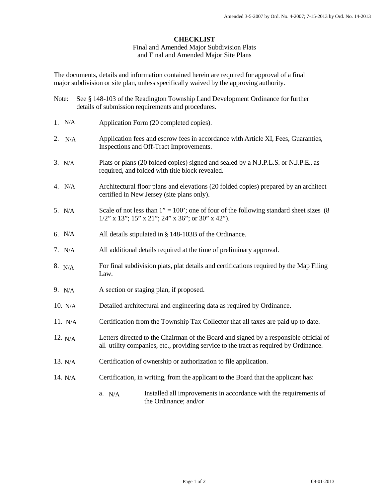Final and Amended Major Subdivision Plats and Final and Amended Major Site Plans

The documents, details and information contained herein are required for approval of a final major subdivision or site plan, unless specifically waived by the approving authority.

Note: See § 148-103 of the Readington Township Land Development Ordinance for further

|           | details of submission requirements and procedures.                                                                                                                             |
|-----------|--------------------------------------------------------------------------------------------------------------------------------------------------------------------------------|
| 1. N/A    | Application Form (20 completed copies).                                                                                                                                        |
| 2. $N/A$  | Application fees and escrow fees in accordance with Article XI, Fees, Guaranties,<br>Inspections and Off-Tract Improvements.                                                   |
| 3. N/A    | Plats or plans (20 folded copies) signed and sealed by a N.J.P.L.S. or N.J.P.E., as<br>required, and folded with title block revealed.                                         |
| 4. $N/A$  | Architectural floor plans and elevations (20 folded copies) prepared by an architect<br>certified in New Jersey (site plans only).                                             |
| 5. $N/A$  | Scale of not less than $1" = 100'$ ; one of four of the following standard sheet sizes (8)<br>$1/2$ " x 13"; 15" x 21"; 24" x 36"; or 30" x 42").                              |
| 6. $N/A$  | All details stipulated in § 148-103B of the Ordinance.                                                                                                                         |
| 7. $N/A$  | All additional details required at the time of preliminary approval.                                                                                                           |
| 8. N/A    | For final subdivision plats, plat details and certifications required by the Map Filing<br>Law.                                                                                |
| 9. $N/A$  | A section or staging plan, if proposed.                                                                                                                                        |
| 10. N/A   | Detailed architectural and engineering data as required by Ordinance.                                                                                                          |
| 11. N/A   | Certification from the Township Tax Collector that all taxes are paid up to date.                                                                                              |
| 12. N/A   | Letters directed to the Chairman of the Board and signed by a responsible official of<br>all utility companies, etc., providing service to the tract as required by Ordinance. |
| 13. $N/A$ | Certification of ownership or authorization to file application.                                                                                                               |
| 14. N/A   | Certification, in writing, from the applicant to the Board that the applicant has:                                                                                             |
|           | Installed all improvements in accordance with the requirements of<br>a. N/A<br>the Ordinance; and/or                                                                           |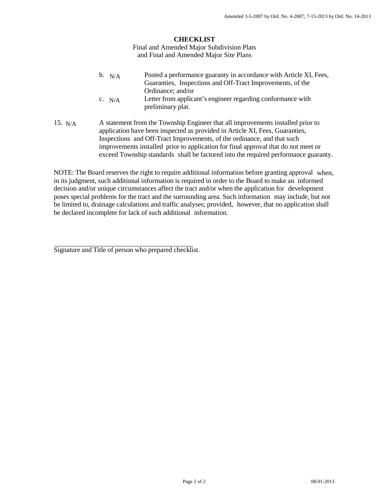Final and Amended Major Subdivision Plats and Final and Amended Major Site Plans

- Posted a performance guaranty in accordance with Article XI, Fees, Guaranties, Inspections and Off-Tract Improvements, of the Ordinance; and/or  $b. N/A$
- Letter from applicant's engineer regarding conformance with preliminary plat.  $C. N/A$
- 15. A statement from the Township Engineer that all improvements installed prior to application have been inspected as provided in Article XI, Fees, Guaranties, Inspections and Off-Tract Improvements, of the ordinance, and that such improvements installed prior to application for final approval that do not meet or exceed Township standards shall be factored into the required performance guaranty. 15.  $N/A$

NOTE: The Board reserves the right to require additional information before granting approval when, in its judgment, such additional information is required in order to the Board to make an informed decision and/or unique circumstances affect the tract and/or when the application for development poses special problems for the tract and the surrounding area. Such information may include, but not be limited to, drainage calculations and traffic analyses; provided, however, that no application shall be declared incomplete for lack of such additional information.

Signature and Title of person who prepared checklist.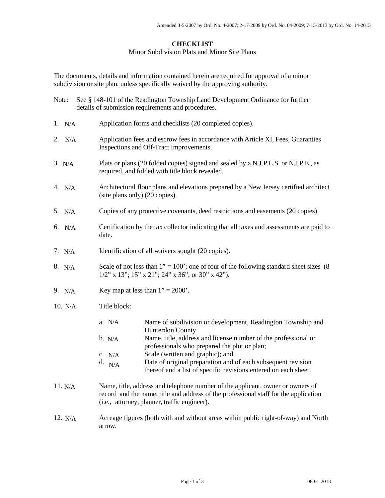#### Minor Subdivision Plats and Minor Site Plans

The documents, details and information contained herein are required for approval of a minor subdivision or site plan, unless specifically waived by the approving authority.

| Note: | See § 148-101 of the Readington Township Land Development Ordinance for further |
|-------|---------------------------------------------------------------------------------|
|       | details of submission requirements and procedures.                              |

- Application forms and checklists (20 completed copies). N/A
- 2. Application fees and escrow fees in accordance with Article XI, Fees, Guaranties Inspections and Off-Tract Improvements. 2.  $N/A$
- 3. Plats or plans (20 folded copies) signed and sealed by a N.J.P.L.S. or N.J.P.E., as required, and folded with title block revealed.
- 4. Architectural floor plans and elevations prepared by a New Jersey certified architect (site plans only) (20 copies). 4.  $N/A$
- 5. Copies of any protective covenants, deed restrictions and easements (20 copies). 5. N/A
- 6. Certification by the tax collector indicating that all taxes and assessments are paid to date. N/A
- Identification of all waivers sought (20 copies). 7.  $N/A$
- Scale of not less than  $1" = 100"$ ; one of four of the following standard sheet sizes (8)  $1/2$ " x  $13$ ";  $15$ " x  $21$ ";  $24$ " x  $36$ "; or  $30$ " x  $42$ "). 8.  $N/A$
- Key map at less than  $1" = 2000'$ . 9.  $N/A$
- Title block: 10. N/A
	- Name of subdivision or development, Readington Township and Hunterdon County  $a. N/A$
	- b. Name, title, address and license number of the professional or professionals who prepared the plot or plan;  $b. N/A$
	- Scale (written and graphic); and  $C. N/A$
	- Date of original preparation and of each subsequent revision thereof and a list of specific revisions entered on each sheet. d.  $N/A$
- Name, title, address and telephone number of the applicant, owner or owners of record and the name, title and address of the professional staff for the application (i.e., attorney, planner, traffic engineer).  $11. N/A$
- Acreage figures (both with and without areas within public right-of-way) and North arrow. 12.  $N/A$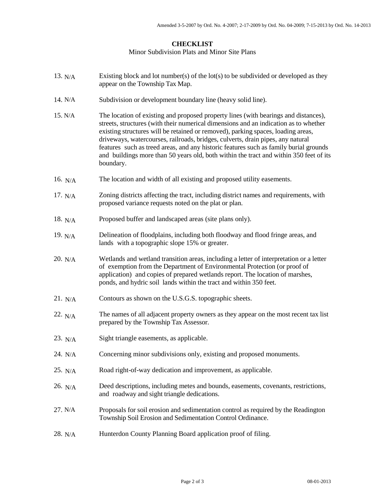#### Minor Subdivision Plats and Minor Site Plans

- Existing block and lot number(s) of the lot(s) to be subdivided or developed as they appear on the Township Tax Map. 13.  $N/A$
- 14. Subdivision or development boundary line (heavy solid line).
- 15. The location of existing and proposed property lines (with bearings and distances), streets, structures (with their numerical dimensions and an indication as to whether existing structures will be retained or removed), parking spaces, loading areas, driveways, watercourses, railroads, bridges, culverts, drain pipes, any natural features such as treed areas, and any historic features such as family burial grounds and buildings more than 50 years old, both within the tract and within 350 feet of its boundary.  $\rm N/A$ <br/> $\rm N/A$ N/A N/A
- 16.  $_{N/A}$  The location and width of all existing and proposed utility easements.
- 17. Zoning districts affecting the tract, including district names and requirements, with proposed variance requests noted on the plat or plan. 17.  $N/A$
- Proposed buffer and landscaped areas (site plans only). 18.  $N/A$
- 19. Delineation of floodplains, including both floodway and flood fringe areas, and lands with a topographic slope 15% or greater. 19.  $N/A$
- 20. Wetlands and wetland transition areas, including a letter of interpretation or a letter of exemption from the Department of Environmental Protection (or proof of application) and copies of prepared wetlands report. The location of marshes, ponds, and hydric soil lands within the tract and within 350 feet.  $20. N/A$
- Contours as shown on the U.S.G.S. topographic sheets.  $21. N/A$
- The names of all adjacent property owners as they appear on the most recent tax list prepared by the Township Tax Assessor. 22.  $N/A$
- Sight triangle easements, as applicable. 23.  $N/A$
- 24. Concerning minor subdivisions only, existing and proposed monuments.  $24. N/A$
- Road right-of-way dedication and improvement, as applicable.  $25. N/A$
- Deed descriptions, including metes and bounds, easements, covenants, restrictions, and roadway and sight triangle dedications. 26.  $N/A$
- 27. Proposals for soil erosion and sedimentation control as required by the Readington Township Soil Erosion and Sedimentation Control Ordinance.  $27. N/A$
- 28. N/A Hunterdon County Planning Board application proof of filing.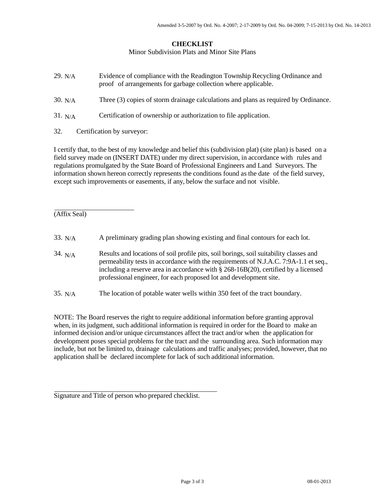Minor Subdivision Plats and Minor Site Plans

- Evidence of compliance with the Readington Township Recycling Ordinance and proof of arrangements for garbage collection where applicable. Three (3) copies of storm drainage calculations and plans as required by Ordinance. Certification of ownership or authorization to file application. 29. N/A  $30. N/A$  $31. N/A$
- 32. Certification by surveyor:

I certify that, to the best of my knowledge and belief this (subdivision plat) (site plan) is based on a field survey made on (INSERT DATE) under my direct supervision, in accordance with rules and regulations promulgated by the State Board of Professional Engineers and Land Surveyors. The information shown hereon correctly represents the conditions found as the date of the field survey, except such improvements or easements, if any, below the surface and not visible.

(Affix Seal)

| 33. N/A   | A preliminary grading plan showing existing and final contours for each lot.                                                                                                                                                                                                                                                                   |
|-----------|------------------------------------------------------------------------------------------------------------------------------------------------------------------------------------------------------------------------------------------------------------------------------------------------------------------------------------------------|
| 34. $N/A$ | Results and locations of soil profile pits, soil borings, soil suitability classes and<br>permeability tests in accordance with the requirements of N.J.A.C. 7:9A-1.1 et seq.,<br>including a reserve area in accordance with $\S 268-16B(20)$ , certified by a licensed<br>professional engineer, for each proposed lot and development site. |
| 35. N/A   | The location of potable water wells within 350 feet of the tract boundary.                                                                                                                                                                                                                                                                     |

NOTE: The Board reserves the right to require additional information before granting approval when, in its judgment, such additional information is required in order for the Board to make an informed decision and/or unique circumstances affect the tract and/or when the application for development poses special problems for the tract and the surrounding area. Such information may include, but not be limited to, drainage calculations and traffic analyses; provided, however, that no application shall be declared incomplete for lack of such additional information.

Signature and Title of person who prepared checklist.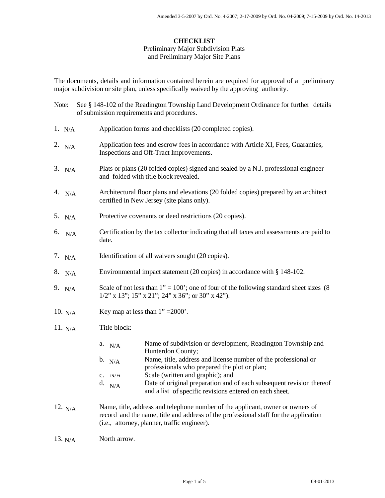## Preliminary Major Subdivision Plats and Preliminary Major Site Plans

The documents, details and information contained herein are required for approval of a preliminary major subdivision or site plan, unless specifically waived by the approving authority.

| Note: |           | See § 148-102 of the Readington Township Land Development Ordinance for further details<br>of submission requirements and procedures.                                                                                                                                                                                                                                                                                  |
|-------|-----------|------------------------------------------------------------------------------------------------------------------------------------------------------------------------------------------------------------------------------------------------------------------------------------------------------------------------------------------------------------------------------------------------------------------------|
|       | 1. $N/A$  | Application forms and checklists (20 completed copies).                                                                                                                                                                                                                                                                                                                                                                |
|       | 2. $N/A$  | Application fees and escrow fees in accordance with Article XI, Fees, Guaranties,<br>Inspections and Off-Tract Improvements.                                                                                                                                                                                                                                                                                           |
|       | 3. N/A    | Plats or plans (20 folded copies) signed and sealed by a N.J. professional engineer<br>and folded with title block revealed.                                                                                                                                                                                                                                                                                           |
|       | 4. $N/A$  | Architectural floor plans and elevations (20 folded copies) prepared by an architect<br>certified in New Jersey (site plans only).                                                                                                                                                                                                                                                                                     |
|       | 5. $N/A$  | Protective covenants or deed restrictions (20 copies).                                                                                                                                                                                                                                                                                                                                                                 |
| 6.    | N/A       | Certification by the tax collector indicating that all taxes and assessments are paid to<br>date.                                                                                                                                                                                                                                                                                                                      |
|       | 7. $N/A$  | Identification of all waivers sought (20 copies).                                                                                                                                                                                                                                                                                                                                                                      |
|       | 8. N/A    | Environmental impact statement (20 copies) in accordance with § 148-102.                                                                                                                                                                                                                                                                                                                                               |
|       | 9. $N/A$  | Scale of not less than $1" = 100'$ ; one of four of the following standard sheet sizes (8)<br>$1/2$ " x 13"; 15" x 21"; 24" x 36"; or 30" x 42").                                                                                                                                                                                                                                                                      |
|       | 10. $N/A$ | Key map at less than $1" = 2000'$ .                                                                                                                                                                                                                                                                                                                                                                                    |
|       | 11. $N/A$ | Title block:                                                                                                                                                                                                                                                                                                                                                                                                           |
|       |           | Name of subdivision or development, Readington Township and<br>a.<br>N/A<br>Hunterdon County;<br>Name, title, address and license number of the professional or<br>b. N/A<br>professionals who prepared the plot or plan;<br>Scale (written and graphic); and<br>C. N/A<br>Date of original preparation and of each subsequent revision thereof<br>d. $N/A$<br>and a list of specific revisions entered on each sheet. |
|       | 12. $N/A$ | Name, title, address and telephone number of the applicant, owner or owners of<br>record and the name, title and address of the professional staff for the application<br>(i.e., attorney, planner, traffic engineer).                                                                                                                                                                                                 |
|       | 13. $N/A$ | North arrow.                                                                                                                                                                                                                                                                                                                                                                                                           |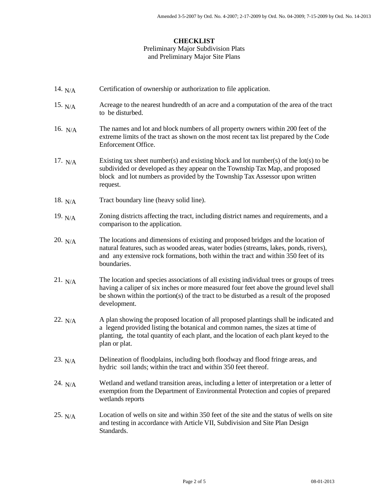#### Preliminary Major Subdivision Plats and Preliminary Major Site Plans

- Certification of ownership or authorization to file application. 14.  $N/A$
- 15.  $N/A$  Acreage to the nearest hundredth of an acre and a computation of the area of the tract to be disturbed.
- The names and lot and block numbers of all property owners within 200 feet of the extreme limits of the tract as shown on the most recent tax list prepared by the Code Enforcement Office. 16.  $N/A$
- Existing tax sheet number(s) and existing block and lot number(s) of the lot(s) to be subdivided or developed as they appear on the Township Tax Map, and proposed block and lot numbers as provided by the Township Tax Assessor upon written request. 17.  $N/A$
- Tract boundary line (heavy solid line). 18.  $N/A$
- 19. Zoning districts affecting the tract, including district names and requirements, and a comparison to the application. 19.  $N/A$
- The locations and dimensions of existing and proposed bridges and the location of natural features, such as wooded areas, water bodies (streams, lakes, ponds, rivers), and any extensive rock formations, both within the tract and within 350 feet of its boundaries. 20.  $N/A$
- The location and species associations of all existing individual trees or groups of trees having a caliper of six inches or more measured four feet above the ground level shall be shown within the portion(s) of the tract to be disturbed as a result of the proposed development. 21.  $N/A$
- 22. A plan showing the proposed location of all proposed plantings shall be indicated and a legend provided listing the botanical and common names, the sizes at time of planting, the total quantity of each plant, and the location of each plant keyed to the plan or plat.  $22. N/A$
- Delineation of floodplains, including both floodway and flood fringe areas, and hydric soil lands; within the tract and within 350 feet thereof. 23.  $N/A$
- Wetland and wetland transition areas, including a letter of interpretation or a letter of exemption from the Department of Environmental Protection and copies of prepared wetlands reports 24.  $N/A$
- Location of wells on site and within 350 feet of the site and the status of wells on site and testing in accordance with Article VII, Subdivision and Site Plan Design Standards.  $25. N/A$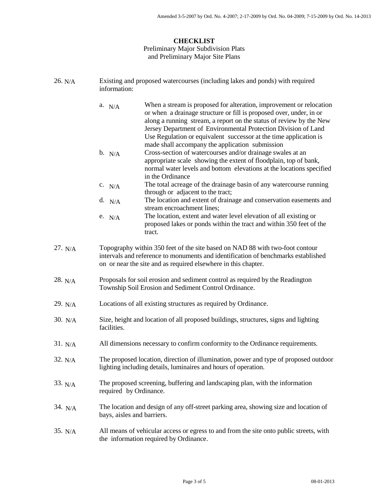# Preliminary Major Subdivision Plats and Preliminary Major Site Plans

| 26. N/A   | Existing and proposed watercourses (including lakes and ponds) with required<br>information:                                                                                                                                                                                                                                                                                                                            |
|-----------|-------------------------------------------------------------------------------------------------------------------------------------------------------------------------------------------------------------------------------------------------------------------------------------------------------------------------------------------------------------------------------------------------------------------------|
|           | When a stream is proposed for alteration, improvement or relocation<br>a. $N/A$<br>or when a drainage structure or fill is proposed over, under, in or<br>along a running stream, a report on the status of review by the New<br>Jersey Department of Environmental Protection Division of Land<br>Use Regulation or equivalent successor at the time application is<br>made shall accompany the application submission |
|           | Cross-section of watercourses and/or drainage swales at an<br>b. N/A<br>appropriate scale showing the extent of floodplain, top of bank,<br>normal water levels and bottom elevations at the locations specified<br>in the Ordinance                                                                                                                                                                                    |
|           | The total acreage of the drainage basin of any watercourse running<br>c. N/A<br>through or adjacent to the tract;                                                                                                                                                                                                                                                                                                       |
|           | The location and extent of drainage and conservation easements and<br>d. $N/A$<br>stream encroachment lines;                                                                                                                                                                                                                                                                                                            |
|           | The location, extent and water level elevation of all existing or<br>e. $N/A$<br>proposed lakes or ponds within the tract and within 350 feet of the<br>tract.                                                                                                                                                                                                                                                          |
| 27. N/A   | Topography within 350 feet of the site based on NAD 88 with two-foot contour<br>intervals and reference to monuments and identification of benchmarks established<br>on or near the site and as required elsewhere in this chapter.                                                                                                                                                                                     |
| 28. $N/A$ | Proposals for soil erosion and sediment control as required by the Readington<br>Township Soil Erosion and Sediment Control Ordinance.                                                                                                                                                                                                                                                                                  |
| 29. $N/A$ | Locations of all existing structures as required by Ordinance.                                                                                                                                                                                                                                                                                                                                                          |
| 30. N/A   | Size, height and location of all proposed buildings, structures, signs and lighting<br>facilities.                                                                                                                                                                                                                                                                                                                      |
| 31. N/A   | All dimensions necessary to confirm conformity to the Ordinance requirements.                                                                                                                                                                                                                                                                                                                                           |
| 32. N/A   | The proposed location, direction of illumination, power and type of proposed outdoor<br>lighting including details, luminaires and hours of operation.                                                                                                                                                                                                                                                                  |
| 33. N/A   | The proposed screening, buffering and landscaping plan, with the information<br>required by Ordinance.                                                                                                                                                                                                                                                                                                                  |
| 34. N/A   | The location and design of any off-street parking area, showing size and location of<br>bays, aisles and barriers.                                                                                                                                                                                                                                                                                                      |
| 35. N/A   | All means of vehicular access or egress to and from the site onto public streets, with<br>the information required by Ordinance.                                                                                                                                                                                                                                                                                        |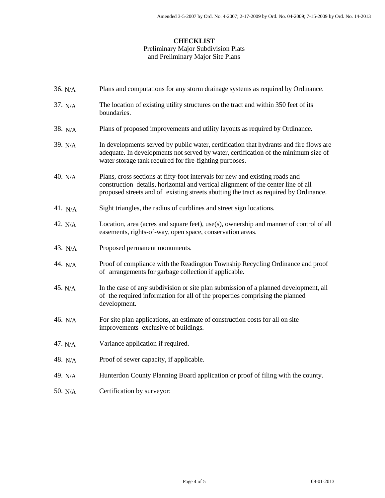# Preliminary Major Subdivision Plats and Preliminary Major Site Plans

| 36. N/A            | Plans and computations for any storm drainage systems as required by Ordinance.                                                                                                                                                                            |
|--------------------|------------------------------------------------------------------------------------------------------------------------------------------------------------------------------------------------------------------------------------------------------------|
| 37. N/A            | The location of existing utility structures on the tract and within 350 feet of its<br>boundaries.                                                                                                                                                         |
| 38. $N/A$          | Plans of proposed improvements and utility layouts as required by Ordinance.                                                                                                                                                                               |
| 39. N/A            | In developments served by public water, certification that hydrants and fire flows are<br>adequate. In developments not served by water, certification of the minimum size of<br>water storage tank required for fire-fighting purposes.                   |
| 40. $N/A$          | Plans, cross sections at fifty-foot intervals for new and existing roads and<br>construction details, horizontal and vertical alignment of the center line of all<br>proposed streets and of existing streets abutting the tract as required by Ordinance. |
| 41. <sub>N/A</sub> | Sight triangles, the radius of curblines and street sign locations.                                                                                                                                                                                        |
| 42. N/A            | Location, area (acres and square feet), use(s), ownership and manner of control of all<br>easements, rights-of-way, open space, conservation areas.                                                                                                        |
| 43. N/A            | Proposed permanent monuments.                                                                                                                                                                                                                              |
| 44. N/A            | Proof of compliance with the Readington Township Recycling Ordinance and proof<br>of arrangements for garbage collection if applicable.                                                                                                                    |
| 45. N/A            | In the case of any subdivision or site plan submission of a planned development, all<br>of the required information for all of the properties comprising the planned<br>development.                                                                       |
| 46. N/A            | For site plan applications, an estimate of construction costs for all on site<br>improvements exclusive of buildings.                                                                                                                                      |
| 47. $N/A$          | Variance application if required.                                                                                                                                                                                                                          |
| 48. $N/A$          | Proof of sewer capacity, if applicable.                                                                                                                                                                                                                    |
| 49. N/A            | Hunterdon County Planning Board application or proof of filing with the county.                                                                                                                                                                            |
| 50. N/A            | Certification by surveyor:                                                                                                                                                                                                                                 |
|                    |                                                                                                                                                                                                                                                            |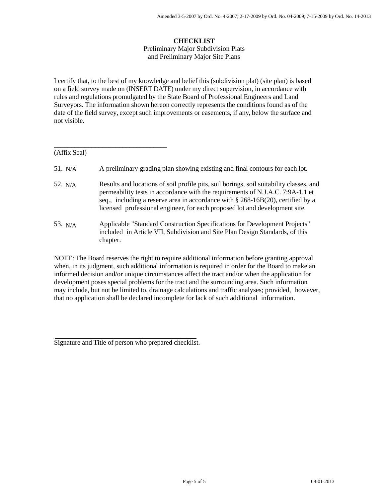Preliminary Major Subdivision Plats and Preliminary Major Site Plans

I certify that, to the best of my knowledge and belief this (subdivision plat) (site plan) is based on a field survey made on (INSERT DATE) under my direct supervision, in accordance with rules and regulations promulgated by the State Board of Professional Engineers and Land Surveyors. The information shown hereon correctly represents the conditions found as of the date of the field survey, except such improvements or easements, if any, below the surface and not visible.

| (Affix Seal) |                                                                                                                                                                                                                                                                                                                                                 |
|--------------|-------------------------------------------------------------------------------------------------------------------------------------------------------------------------------------------------------------------------------------------------------------------------------------------------------------------------------------------------|
| 51. $N/A$    | A preliminary grading plan showing existing and final contours for each lot.                                                                                                                                                                                                                                                                    |
| 52. $N/A$    | Results and locations of soil profile pits, soil borings, soil suitability classes, and<br>permeability tests in accordance with the requirements of N.J.A.C. 7:9A-1.1 et<br>seq., including a reserve area in accordance with $\S 268-16B(20)$ , certified by a<br>licensed professional engineer, for each proposed lot and development site. |
| 53. $N/A$    | Applicable "Standard Construction Specifications for Development Projects"<br>included in Article VII, Subdivision and Site Plan Design Standards, of this<br>chapter.                                                                                                                                                                          |
|              |                                                                                                                                                                                                                                                                                                                                                 |

NOTE: The Board reserves the right to require additional information before granting approval when, in its judgment, such additional information is required in order for the Board to make an informed decision and/or unique circumstances affect the tract and/or when the application for development poses special problems for the tract and the surrounding area. Such information may include, but not be limited to, drainage calculations and traffic analyses; provided, however, that no application shall be declared incomplete for lack of such additional information.

\_\_\_\_\_\_\_\_\_\_\_\_\_\_\_\_\_\_\_\_\_\_\_\_\_\_\_\_\_\_\_\_\_

Signature and Title of person who prepared checklist.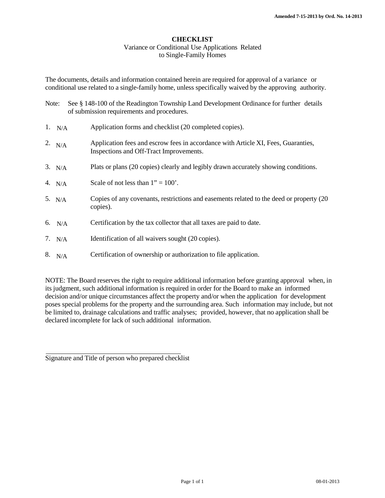#### Variance or Conditional Use Applications Related to Single-Family Homes

The documents, details and information contained herein are required for approval of a variance or conditional use related to a single-family home, unless specifically waived by the approving authority.

- Note: See § 148-100 of the Readington Township Land Development Ordinance for further details of submission requirements and procedures.
- Application forms and checklist (20 completed copies). 1.  $N/A$
- 2. Application fees and escrow fees in accordance with Article XI, Fees, Guaranties, Inspections and Off-Tract Improvements. 2.  $N/A$
- Plats or plans (20 copies) clearly and legibly drawn accurately showing conditions.  $3. N/A$
- Scale of not less than  $1" = 100'$ . 4.  $N/A$
- 5. N/A Copies of any covenants, restrictions and easements related to the deed or property (20 copies).
- 6. Certification by the tax collector that all taxes are paid to date. 6.  $N/A$
- Identification of all waivers sought (20 copies). 7.  $N/A$
- Certification of ownership or authorization to file application.  $8. N/A$

NOTE: The Board reserves the right to require additional information before granting approval when, in its judgment, such additional information is required in order for the Board to make an informed decision and/or unique circumstances affect the property and/or when the application for development poses special problems for the property and the surrounding area. Such information may include, but not be limited to, drainage calculations and traffic analyses; provided, however, that no application shall be declared incomplete for lack of such additional information.

Signature and Title of person who prepared checklist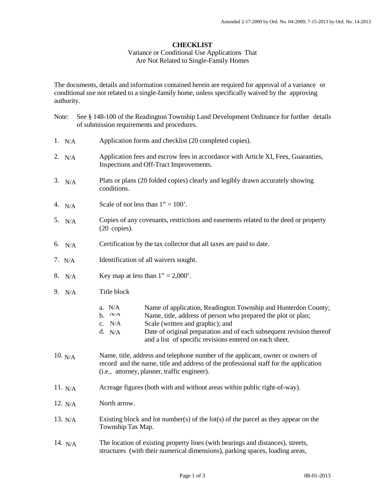## Variance or Conditional Use Applications That Are Not Related to Single-Family Homes

The documents, details and information contained herein are required for approval of a variance or conditional use not related to a single-family home, unless specifically waived by the approving authority.

| Note: |           | See § 148-100 of the Readington Township Land Development Ordinance for further details<br>of submission requirements and procedures.                                                                                                                                                                                                                |  |
|-------|-----------|------------------------------------------------------------------------------------------------------------------------------------------------------------------------------------------------------------------------------------------------------------------------------------------------------------------------------------------------------|--|
|       | 1. $N/A$  | Application forms and checklist (20 completed copies).                                                                                                                                                                                                                                                                                               |  |
|       | 2. $N/A$  | Application fees and escrow fees in accordance with Article XI, Fees, Guaranties,<br>Inspections and Off-Tract Improvements.                                                                                                                                                                                                                         |  |
|       | 3. N/A    | Plats or plans (20 folded copies) clearly and legibly drawn accurately showing<br>conditions.                                                                                                                                                                                                                                                        |  |
|       | 4. $N/A$  | Scale of not less than $1" = 100'$ .                                                                                                                                                                                                                                                                                                                 |  |
|       | 5. $N/A$  | Copies of any covenants, restrictions and easements related to the deed or property<br>$(20 \text{ copies}).$                                                                                                                                                                                                                                        |  |
|       | 6. $N/A$  | Certification by the tax collector that all taxes are paid to date.                                                                                                                                                                                                                                                                                  |  |
|       | 7. $N/A$  | Identification of all waivers sought.                                                                                                                                                                                                                                                                                                                |  |
|       | 8. N/A    | Key map at less than $1" = 2,000'$ .                                                                                                                                                                                                                                                                                                                 |  |
|       | 9. N/A    | Title block                                                                                                                                                                                                                                                                                                                                          |  |
|       |           | Name of application, Readington Township and Hunterdon County;<br>a. $N/A$<br>b. N/A<br>Name, title, address of person who prepared the plot or plan;<br>Scale (written and graphic); and<br>c. $N/A$<br>Date of original preparation and of each subsequent revision thereof<br>d. $N/A$<br>and a list of specific revisions entered on each sheet. |  |
|       | 10. N/A   | Name, title, address and telephone number of the applicant, owner or owners of<br>record and the name, title and address of the professional staff for the application<br>(i.e., attorney, planner, traffic engineer).                                                                                                                               |  |
|       | 11. $N/A$ | Acreage figures (both with and without areas within public right-of-way).                                                                                                                                                                                                                                                                            |  |
|       | 12. $N/A$ | North arrow.                                                                                                                                                                                                                                                                                                                                         |  |
|       | 13. $N/A$ | Existing block and lot number(s) of the lot(s) of the parcel as they appear on the<br>Township Tax Map.                                                                                                                                                                                                                                              |  |
|       | 14. $N/A$ | The location of existing property lines (with bearings and distances), streets,<br>structures (with their numerical dimensions), parking spaces, loading areas,                                                                                                                                                                                      |  |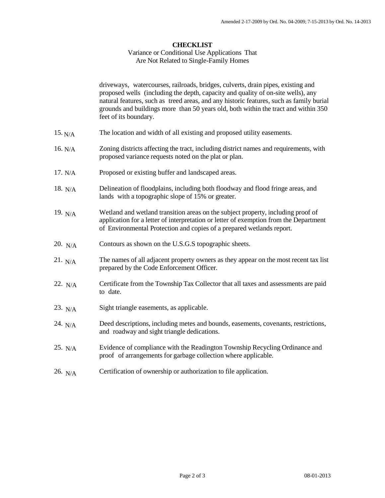### Variance or Conditional Use Applications That Are Not Related to Single-Family Homes

driveways, watercourses, railroads, bridges, culverts, drain pipes, existing and proposed wells (including the depth, capacity and quality of on-site wells), any natural features, such as treed areas, and any historic features, such as family burial grounds and buildings more than 50 years old, both within the tract and within 350 feet of its boundary.

- The location and width of all existing and proposed utility easements.  $15. N/A$
- Zoning districts affecting the tract, including district names and requirements, with proposed variance requests noted on the plat or plan.  $16. N/A$
- Proposed or existing buffer and landscaped areas.  $17. N/A$
- Delineation of floodplains, including both floodway and flood fringe areas, and lands with a topographic slope of 15% or greater. 18.  $N/A$
- 19. Wetland and wetland transition areas on the subject property, including proof of application for a letter of interpretation or letter of exemption from the Department of Environmental Protection and copies of a prepared wetlands report. 19.  $N/A$
- Contours as shown on the U.S.G.S topographic sheets. 20.  $N/A$
- 21. The names of all adjacent property owners as they appear on the most recent tax list prepared by the Code Enforcement Officer.  $21. N/A$
- 22. Certificate from the Township Tax Collector that all taxes and assessments are paid to date. 22. N/A
- Sight triangle easements, as applicable.  $23. N/A$
- Deed descriptions, including metes and bounds, easements, covenants, restrictions, and roadway and sight triangle dedications. 24.  $N/A$
- Evidence of compliance with the Readington Township Recycling Ordinance and proof of arrangements for garbage collection where applicable.  $25. N/A$
- 26. Certification of ownership or authorization to file application. 26.  $N/A$